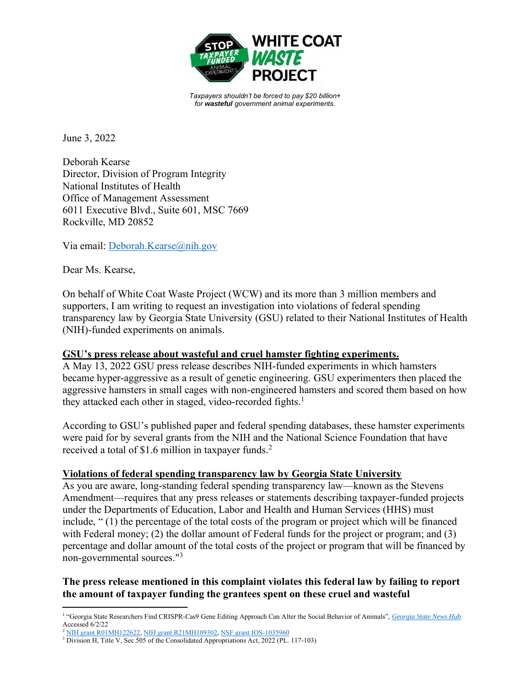

*Taxpayers shouldn't be forced to pay \$20 billion+ for wasteful government animal experiments.*

June 3, 2022

Deborah Kearse Director, Division of Program Integrity National Institutes of Health Office of Management Assessment 6011 Executive Blvd., Suite 601, MSC 7669 Rockville, MD 20852

Via email: Deborah.Kearse@nih.gov

Dear Ms. Kearse,

On behalf of White Coat Waste Project (WCW) and its more than 3 million members and supporters, I am writing to request an investigation into violations of federal spending transparency law by Georgia State University (GSU) related to their National Institutes of Health (NIH)-funded experiments on animals.

## **GSU's press release about wasteful and cruel hamster fighting experiments.**

A May 13, 2022 GSU press release describes NIH-funded experiments in which hamsters became hyper-aggressive as a result of genetic engineering. GSU experimenters then placed the aggressive hamsters in small cages with non-engineered hamsters and scored them based on how they attacked each other in staged, video-recorded fights.<sup>1</sup>

According to GSU's published paper and federal spending databases, these hamster experiments were paid for by several grants from the NIH and the National Science Foundation that have received a total of \$1.6 million in taxpayer funds. 2

#### **Violations of federal spending transparency law by Georgia State University**

As you are aware, long-standing federal spending transparency law—known as the Stevens Amendment—requires that any press releases or statements describing taxpayer-funded projects under the Departments of Education, Labor and Health and Human Services (HHS) must include, " (1) the percentage of the total costs of the program or project which will be financed with Federal money; (2) the dollar amount of Federal funds for the project or program; and (3) percentage and dollar amount of the total costs of the project or program that will be financed by non-governmental sources."<sup>3</sup>

# **The press release mentioned in this complaint violates this federal law by failing to report the amount of taxpayer funding the grantees spent on these cruel and wasteful**

<sup>&</sup>lt;sup>1</sup> "Georgia State Researchers Find CRISPR-Cas9 Gene Editing Approach Can Alter the Social Behavior of Animals", *Georgia State News Hub*. Accessed 6/2/22

<sup>&</sup>lt;sup>2</sup> NIH grant R01MH122622, NIH grant R21MH109302, NSF grant IOS-1035960

<sup>&</sup>lt;sup>3</sup> Division H, Title V, Sec 505 of the Consolidated Appropriations Act, 2022 (PL. 117-103)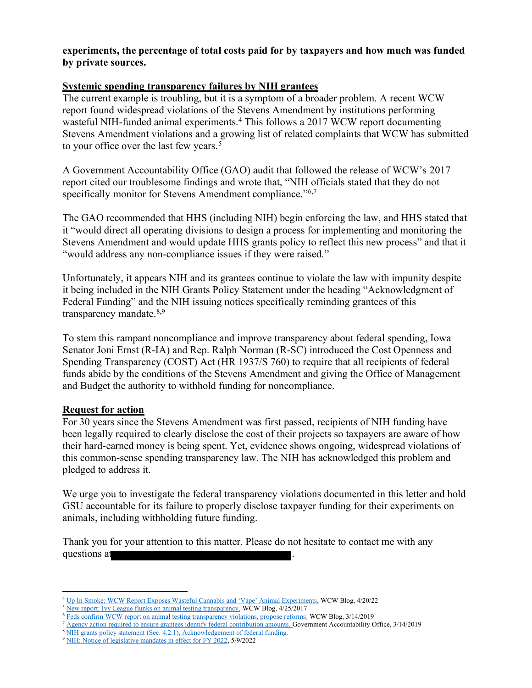## **experiments, the percentage of total costs paid for by taxpayers and how much was funded by private sources.**

## **Systemic spending transparency failures by NIH grantees**

The current example is troubling, but it is a symptom of a broader problem. A recent WCW report found widespread violations of the Stevens Amendment by institutions performing wasteful NIH-funded animal experiments.<sup>4</sup> This follows a 2017 WCW report documenting Stevens Amendment violations and a growing list of related complaints that WCW has submitted to your office over the last few years.<sup>5</sup>

A Government Accountability Office (GAO) audit that followed the release of WCW's 2017 report cited our troublesome findings and wrote that, "NIH officials stated that they do not specifically monitor for Stevens Amendment compliance."<sup>6,7</sup>

The GAO recommended that HHS (including NIH) begin enforcing the law, and HHS stated that it "would direct all operating divisions to design a process for implementing and monitoring the Stevens Amendment and would update HHS grants policy to reflect this new process" and that it "would address any non-compliance issues if they were raised."

Unfortunately, it appears NIH and its grantees continue to violate the law with impunity despite it being included in the NIH Grants Policy Statement under the heading "Acknowledgment of Federal Funding" and the NIH issuing notices specifically reminding grantees of this transparency mandate.<sup>8,9</sup>

To stem this rampant noncompliance and improve transparency about federal spending, Iowa Senator Joni Ernst (R-IA) and Rep. Ralph Norman (R-SC) introduced the Cost Openness and Spending Transparency (COST) Act (HR 1937/S 760) to require that all recipients of federal funds abide by the conditions of the Stevens Amendment and giving the Office of Management and Budget the authority to withhold funding for noncompliance.

#### **Request for action**

For 30 years since the Stevens Amendment was first passed, recipients of NIH funding have been legally required to clearly disclose the cost of their projects so taxpayers are aware of how their hard-earned money is being spent. Yet, evidence shows ongoing, widespread violations of this common-sense spending transparency law. The NIH has acknowledged this problem and pledged to address it.

We urge you to investigate the federal transparency violations documented in this letter and hold GSU accountable for its failure to properly disclose taxpayer funding for their experiments on animals, including withholding future funding.

Thank you for your attention to this matter. Please do not hesitate to contact me with any questions at

<sup>4</sup> Up In Smoke: WCW Report Exposes Wasteful Cannabis and 'Vape' Animal Experiments. WCW Blog, 4/20/22

<sup>&</sup>lt;sup>5</sup> New report: Ivy League flunks on animal testing transparency. WCW Blog, 4/25/2017

<sup>&</sup>lt;sup>6</sup> Feds confirm WCW report on animal testing transparency violations, propose reforms. WCW Blog, 3/14/2019

Agency action required to ensure grantees identify federal contribution amounts. Government Accountability Office, 3/14/2019

<sup>&</sup>lt;sup>8</sup> NIH grants policy statement (Sec. 4.2.1), Acknowledgement of federal funding.

<sup>&</sup>lt;sup>9</sup> NIH: Notice of legislative mandates in effect for FY 2022, 5/9/2022